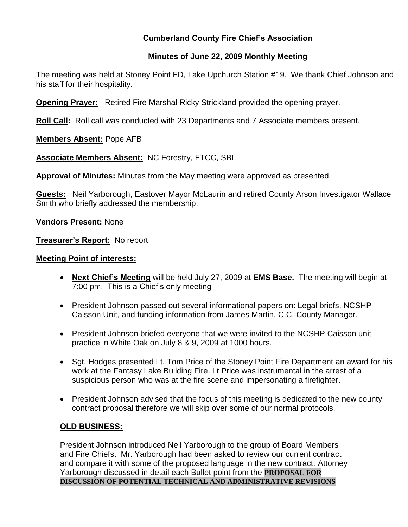# **Cumberland County Fire Chief's Association**

# **Minutes of June 22, 2009 Monthly Meeting**

The meeting was held at Stoney Point FD, Lake Upchurch Station #19. We thank Chief Johnson and his staff for their hospitality.

**Opening Prayer:** Retired Fire Marshal Ricky Strickland provided the opening prayer.

**Roll Call:** Roll call was conducted with 23 Departments and 7 Associate members present.

**Members Absent:** Pope AFB

**Associate Members Absent:** NC Forestry, FTCC, SBI

**Approval of Minutes:** Minutes from the May meeting were approved as presented.

**Guests:** Neil Yarborough, Eastover Mayor McLaurin and retired County Arson Investigator Wallace Smith who briefly addressed the membership.

**Vendors Present:** None

**Treasurer's Report:** No report

#### **Meeting Point of interests:**

- **Next Chief's Meeting** will be held July 27, 2009 at **EMS Base.** The meeting will begin at 7:00 pm. This is a Chief's only meeting
- President Johnson passed out several informational papers on: Legal briefs, NCSHP Caisson Unit, and funding information from James Martin, C.C. County Manager.
- President Johnson briefed everyone that we were invited to the NCSHP Caisson unit practice in White Oak on July 8 & 9, 2009 at 1000 hours.
- Sqt. Hodges presented Lt. Tom Price of the Stoney Point Fire Department an award for his work at the Fantasy Lake Building Fire. Lt Price was instrumental in the arrest of a suspicious person who was at the fire scene and impersonating a firefighter.
- President Johnson advised that the focus of this meeting is dedicated to the new county contract proposal therefore we will skip over some of our normal protocols.

## **OLD BUSINESS:**

President Johnson introduced Neil Yarborough to the group of Board Members and Fire Chiefs. Mr. Yarborough had been asked to review our current contract and compare it with some of the proposed language in the new contract. Attorney Yarborough discussed in detail each Bullet point from the **PROPOSAL FOR DISCUSSION OF POTENTIAL TECHNICAL AND ADMINISTRATIVE REVISIONS**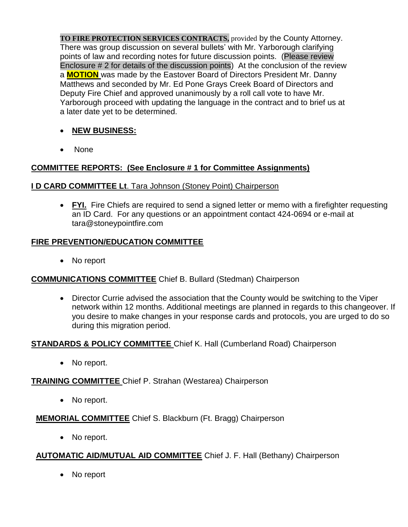**TO FIRE PROTECTION SERVICES CONTRACTS,** provided by the County Attorney. There was group discussion on several bullets' with Mr. Yarborough clarifying points of law and recording notes for future discussion points. (Please review Enclosure # 2 for details of the discussion points) At the conclusion of the review a **MOTION** was made by the Eastover Board of Directors President Mr. Danny Matthews and seconded by Mr. Ed Pone Grays Creek Board of Directors and Deputy Fire Chief and approved unanimously by a roll call vote to have Mr. Yarborough proceed with updating the language in the contract and to brief us at a later date yet to be determined.

- **NEW BUSINESS:**
- None

# **COMMITTEE REPORTS: (See Enclosure # 1 for Committee Assignments)**

#### **I D CARD COMMITTEE Lt**. Tara Johnson (Stoney Point) Chairperson

• FYI. Fire Chiefs are required to send a signed letter or memo with a firefighter requesting an ID Card. For any questions or an appointment contact 424-0694 or e-mail at [tara@stoneypointfire.com](mailto:tara@stoneypointfire.com)

#### **FIRE PREVENTION/EDUCATION COMMITTEE**

• No report

## **COMMUNICATIONS COMMITTEE** Chief B. Bullard (Stedman) Chairperson

 Director Currie advised the association that the County would be switching to the Viper network within 12 months. Additional meetings are planned in regards to this changeover. If you desire to make changes in your response cards and protocols, you are urged to do so during this migration period.

#### **STANDARDS & POLICY COMMITTEE** Chief K. Hall (Cumberland Road) Chairperson

• No report.

#### **TRAINING COMMITTEE** Chief P. Strahan (Westarea) Chairperson

• No report.

**MEMORIAL COMMITTEE** Chief S. Blackburn (Ft. Bragg) Chairperson

• No report.

## **AUTOMATIC AID/MUTUAL AID COMMITTEE** Chief J. F. Hall (Bethany) Chairperson

• No report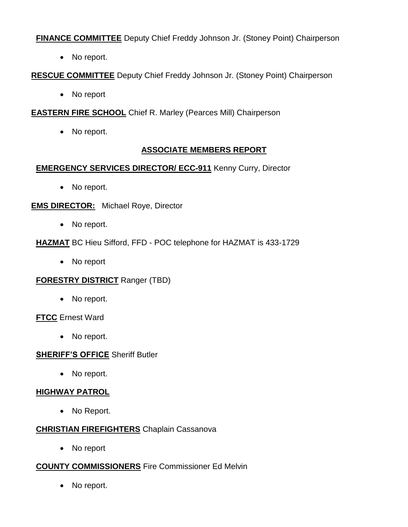**FINANCE COMMITTEE** Deputy Chief Freddy Johnson Jr. (Stoney Point) Chairperson

• No report.

**RESCUE COMMITTEE** Deputy Chief Freddy Johnson Jr. (Stoney Point) Chairperson

• No report

**EASTERN FIRE SCHOOL** Chief R. Marley (Pearces Mill) Chairperson

• No report.

# **ASSOCIATE MEMBERS REPORT**

## **EMERGENCY SERVICES DIRECTOR/ ECC-911** Kenny Curry, Director

• No report.

**EMS DIRECTOR:** Michael Roye, Director

- No report.
- **HAZMAT** BC Hieu Sifford, FFD POC telephone for HAZMAT is 433-1729
	- No report

## **FORESTRY DISTRICT** Ranger (TBD)

• No report.

**FTCC** Ernest Ward

• No report.

## **SHERIFF'S OFFICE** Sheriff Butler

• No report.

## **HIGHWAY PATROL**

• No Report.

## **CHRISTIAN FIREFIGHTERS** Chaplain Cassanova

• No report

## **COUNTY COMMISSIONERS** Fire Commissioner Ed Melvin

• No report.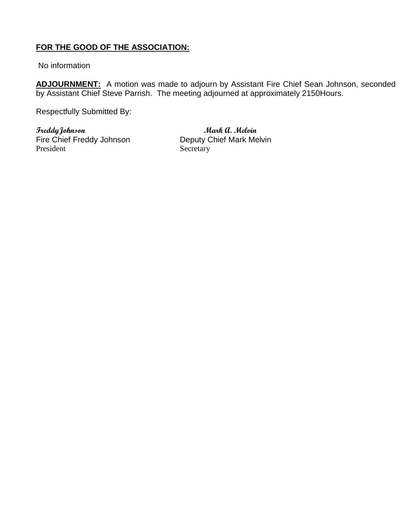# **FOR THE GOOD OF THE ASSOCIATION:**

No information

**ADJOURNMENT:** A motion was made to adjourn by Assistant Fire Chief Sean Johnson, seconded by Assistant Chief Steve Parrish. The meeting adjourned at approximately 2150Hours.

Respectfully Submitted By:

**FreddyJohnson Mark A. Melvin** Fire Chief Freddy Johnson<br>
Deputy Chief Mark Melvin<br>
Secretary

Secretary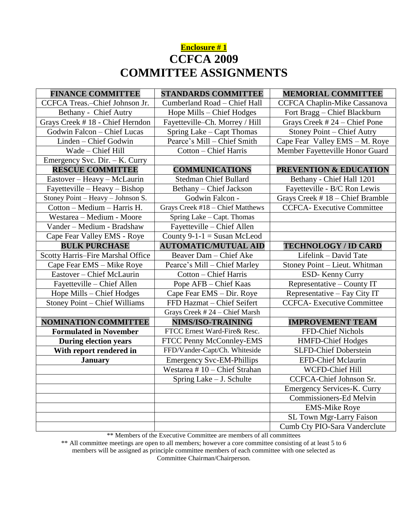# **Enclosure # 1 CCFCA 2009 COMMITTEE ASSIGNMENTS**

| <b>FINANCE COMMITTEE</b>          | <b>STANDARDS COMMITTEE</b>       | <b>MEMORIAL COMMITTEE</b>          |
|-----------------------------------|----------------------------------|------------------------------------|
| CCFCA Treas.-Chief Johnson Jr.    | Cumberland Road - Chief Hall     | CCFCA Chaplin-Mike Cassanova       |
| Bethany - Chief Autry             | Hope Mills - Chief Hodges        | Fort Bragg - Chief Blackburn       |
| Grays Creek #18 - Chief Herndon   | Fayetteville-Ch. Morrey / Hill   | Grays Creek #24 - Chief Pone       |
| Godwin Falcon - Chief Lucas       | Spring Lake – Capt Thomas        | <b>Stoney Point - Chief Autry</b>  |
| Linden - Chief Godwin             | Pearce's Mill - Chief Smith      | Cape Fear Valley EMS - M. Roye     |
| Wade - Chief Hill                 | Cotton - Chief Harris            | Member Fayetteville Honor Guard    |
| Emergency Svc. Dir. - K. Curry    |                                  |                                    |
| <b>RESCUE COMMITTEE</b>           | <b>COMMUNICATIONS</b>            | PREVENTION & EDUCATION             |
| Eastover - Heavy - McLaurin       | <b>Stedman Chief Bullard</b>     | Bethany - Chief Hall 1201          |
| Fayetteville - Heavy - Bishop     | Bethany - Chief Jackson          | Fayetteville - B/C Ron Lewis       |
| Stoney Point - Heavy - Johnson S. | Godwin Falcon -                  | Grays Creek #18 - Chief Bramble    |
| Cotton - Medium - Harris H.       | Grays Creek #18 - Chief Matthews | <b>CCFCA-</b> Executive Committee  |
| Westarea - Medium - Moore         | Spring Lake - Capt. Thomas       |                                    |
| Vander - Medium - Bradshaw        | Fayetteville - Chief Allen       |                                    |
| Cape Fear Valley EMS - Roye       | County $9-1-1 =$ Susan McLeod    |                                    |
| <b>BULK PURCHASE</b>              | <b>AUTOMATIC/MUTUAL AID</b>      | <b>TECHNOLOGY / ID CARD</b>        |
| Scotty Harris-Fire Marshal Office | Beaver Dam - Chief Ake           | Lifelink - David Tate              |
| Cape Fear EMS - Mike Roye         | Pearce's Mill – Chief Marley     | Stoney Point - Lieut. Whitman      |
| Eastover - Chief McLaurin         | <b>Cotton - Chief Harris</b>     | ESD-Kenny Curry                    |
| Fayetteville – Chief Allen        | Pope AFB - Chief Kaas            | Representative – County IT         |
| Hope Mills - Chief Hodges         | Cape Fear EMS - Dir. Roye        | Representative - Fay City IT       |
| Stoney Point - Chief Williams     | FFD Hazmat - Chief Seifert       | <b>CCFCA-</b> Executive Committee  |
|                                   | Grays Creek #24 - Chief Marsh    |                                    |
| <b>NOMINATION COMMITTEE</b>       | NIMS/ISO-TRAINING                | <b>IMPROVEMENT TEAM</b>            |
| <b>Formulated in November</b>     | FTCC Ernest Ward-Fire& Resc.     | FFD-Chief Nichols                  |
| <b>During election years</b>      | FTCC Penny McConnley-EMS         | <b>HMFD-Chief Hodges</b>           |
| With report rendered in           | FFD/Vander-Capt/Ch. Whiteside    | <b>SLFD-Chief Doberstein</b>       |
| <b>January</b>                    | <b>Emergency Svc-EM-Phillips</b> | <b>EFD-Chief Mclaurin</b>          |
|                                   | Westarea $# 10$ – Chief Strahan  | WCFD-Chief Hill                    |
|                                   | Spring Lake - J. Schulte         | <b>CCFCA-Chief Johnson Sr.</b>     |
|                                   |                                  | <b>Emergency Services-K. Curry</b> |
|                                   |                                  | Commissioners-Ed Melvin            |
|                                   |                                  | <b>EMS-Mike Roye</b>               |
|                                   |                                  | SL Town Mgr-Larry Faison           |
|                                   |                                  | Cumb Cty PIO-Sara Vanderclute      |

\*\* Members of the Executive Committee are members of all committees

\*\* All committee meetings are open to all members; however a core committee consisting of at least 5 to 6 members will be assigned as principle committee members of each committee with one selected as

Committee Chairman/Chairperson.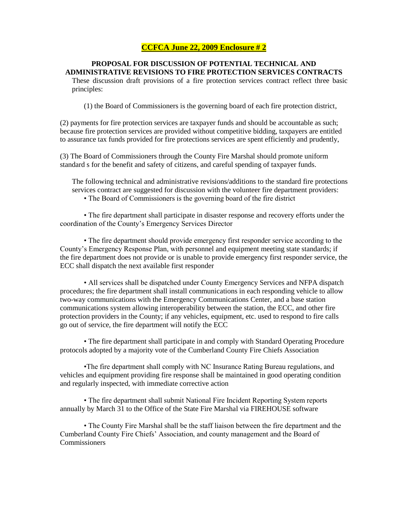#### **CCFCA June 22, 2009 Enclosure # 2**

#### **PROPOSAL FOR DISCUSSION OF POTENTIAL TECHNICAL AND ADMINISTRATIVE REVISIONS TO FIRE PROTECTION SERVICES CONTRACTS**

These discussion draft provisions of a fire protection services contract reflect three basic principles:

(1) the Board of Commissioners is the governing board of each fire protection district,

(2) payments for fire protection services are taxpayer funds and should be accountable as such; because fire protection services are provided without competitive bidding, taxpayers are entitled to assurance tax funds provided for fire protections services are spent efficiently and prudently,

(3) The Board of Commissioners through the County Fire Marshal should promote uniform standard s for the benefit and safety of citizens, and careful spending of taxpayer funds.

The following technical and administrative revisions/additions to the standard fire protections services contract are suggested for discussion with the volunteer fire department providers:

• The Board of Commissioners is the governing board of the fire district

• The fire department shall participate in disaster response and recovery efforts under the coordination of the County's Emergency Services Director

• The fire department should provide emergency first responder service according to the County's Emergency Response Plan, with personnel and equipment meeting state standards; if the fire department does not provide or is unable to provide emergency first responder service, the ECC shall dispatch the next available first responder

• All services shall be dispatched under County Emergency Services and NFPA dispatch procedures; the fire department shall install communications in each responding vehicle to allow two-way communications with the Emergency Communications Center, and a base station communications system allowing interoperability between the station, the ECC, and other fire protection providers in the County; if any vehicles, equipment, etc. used to respond to fire calls go out of service, the fire department will notify the ECC

• The fire department shall participate in and comply with Standard Operating Procedure protocols adopted by a majority vote of the Cumberland County Fire Chiefs Association

•The fire department shall comply with NC Insurance Rating Bureau regulations, and vehicles and equipment providing fire response shall be maintained in good operating condition and regularly inspected, with immediate corrective action

• The fire department shall submit National Fire Incident Reporting System reports annually by March 31 to the Office of the State Fire Marshal via FIREHOUSE software

• The County Fire Marshal shall be the staff liaison between the fire department and the Cumberland County Fire Chiefs' Association, and county management and the Board of **Commissioners**